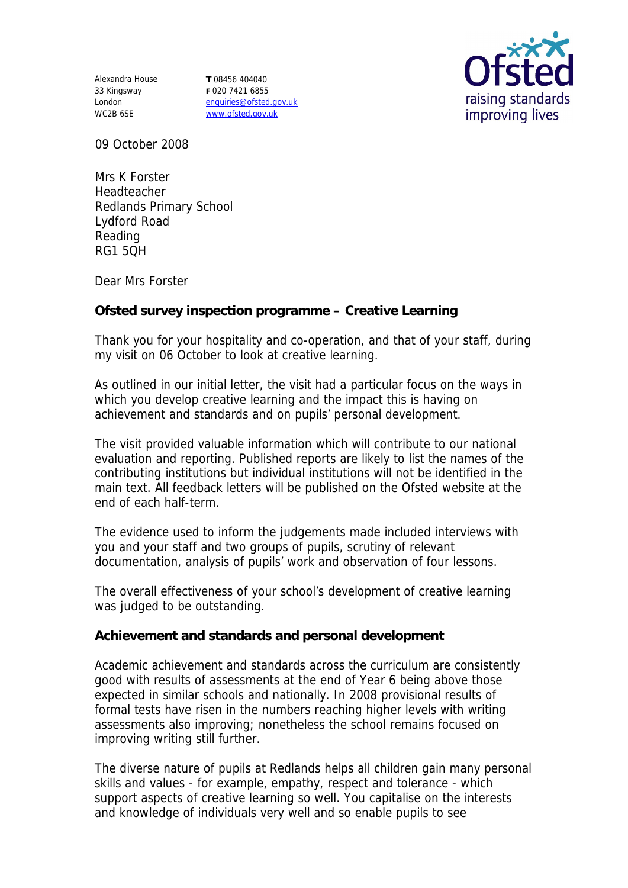Alexandra House **T** 08456 404040 33 Kingsway London WC2B 6SE

**F** 020 7421 6855 enquiries@ofsted.gov.uk www.ofsted.gov.uk



09 October 2008

Mrs K Forster Headteacher Redlands Primary School Lydford Road Reading RG1 5QH

Dear Mrs Forster

**Ofsted survey inspection programme – Creative Learning**

Thank you for your hospitality and co-operation, and that of your staff, during my visit on 06 October to look at creative learning.

As outlined in our initial letter, the visit had a particular focus on the ways in which you develop creative learning and the impact this is having on achievement and standards and on pupils' personal development.

The visit provided valuable information which will contribute to our national evaluation and reporting. Published reports are likely to list the names of the contributing institutions but individual institutions will not be identified in the main text. All feedback letters will be published on the Ofsted website at the end of each half-term.

The evidence used to inform the judgements made included interviews with you and your staff and two groups of pupils, scrutiny of relevant documentation, analysis of pupils' work and observation of four lessons.

The overall effectiveness of your school's development of creative learning was judged to be outstanding.

**Achievement and standards and personal development**

Academic achievement and standards across the curriculum are consistently good with results of assessments at the end of Year 6 being above those expected in similar schools and nationally. In 2008 provisional results of formal tests have risen in the numbers reaching higher levels with writing assessments also improving; nonetheless the school remains focused on improving writing still further.

The diverse nature of pupils at Redlands helps all children gain many personal skills and values - for example, empathy, respect and tolerance - which support aspects of creative learning so well. You capitalise on the interests and knowledge of individuals very well and so enable pupils to see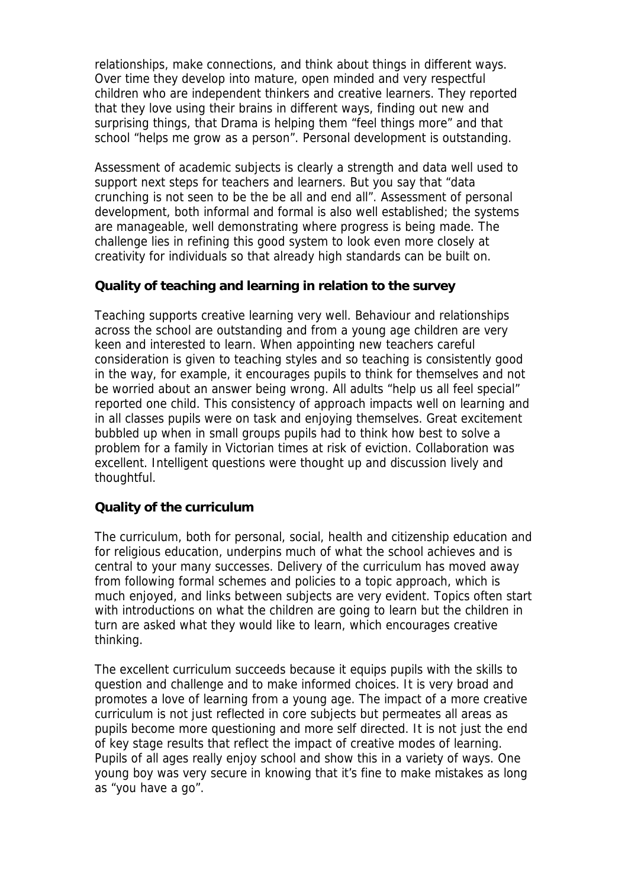relationships, make connections, and think about things in different ways. Over time they develop into mature, open minded and very respectful children who are independent thinkers and creative learners. They reported that they love using their brains in different ways, finding out new and surprising things, that Drama is helping them "feel things more" and that school "helps me grow as a person". Personal development is outstanding.

Assessment of academic subjects is clearly a strength and data well used to support next steps for teachers and learners. But you say that "data crunching is not seen to be the be all and end all". Assessment of personal development, both informal and formal is also well established; the systems are manageable, well demonstrating where progress is being made. The challenge lies in refining this good system to look even more closely at creativity for individuals so that already high standards can be built on.

## **Quality of teaching and learning in relation to the survey**

Teaching supports creative learning very well. Behaviour and relationships across the school are outstanding and from a young age children are very keen and interested to learn. When appointing new teachers careful consideration is given to teaching styles and so teaching is consistently good in the way, for example, it encourages pupils to think for themselves and not be worried about an answer being wrong. All adults "help us all feel special" reported one child. This consistency of approach impacts well on learning and in all classes pupils were on task and enjoying themselves. Great excitement bubbled up when in small groups pupils had to think how best to solve a problem for a family in Victorian times at risk of eviction. Collaboration was excellent. Intelligent questions were thought up and discussion lively and thoughtful.

## **Quality of the curriculum**

The curriculum, both for personal, social, health and citizenship education and for religious education, underpins much of what the school achieves and is central to your many successes. Delivery of the curriculum has moved away from following formal schemes and policies to a topic approach, which is much enjoyed, and links between subjects are very evident. Topics often start with introductions on what the children are going to learn but the children in turn are asked what they would like to learn, which encourages creative thinking.

The excellent curriculum succeeds because it equips pupils with the skills to question and challenge and to make informed choices. It is very broad and promotes a love of learning from a young age. The impact of a more creative curriculum is not just reflected in core subjects but permeates all areas as pupils become more questioning and more self directed. It is not just the end of key stage results that reflect the impact of creative modes of learning. Pupils of all ages really enjoy school and show this in a variety of ways. One young boy was very secure in knowing that it's fine to make mistakes as long as "you have a go".